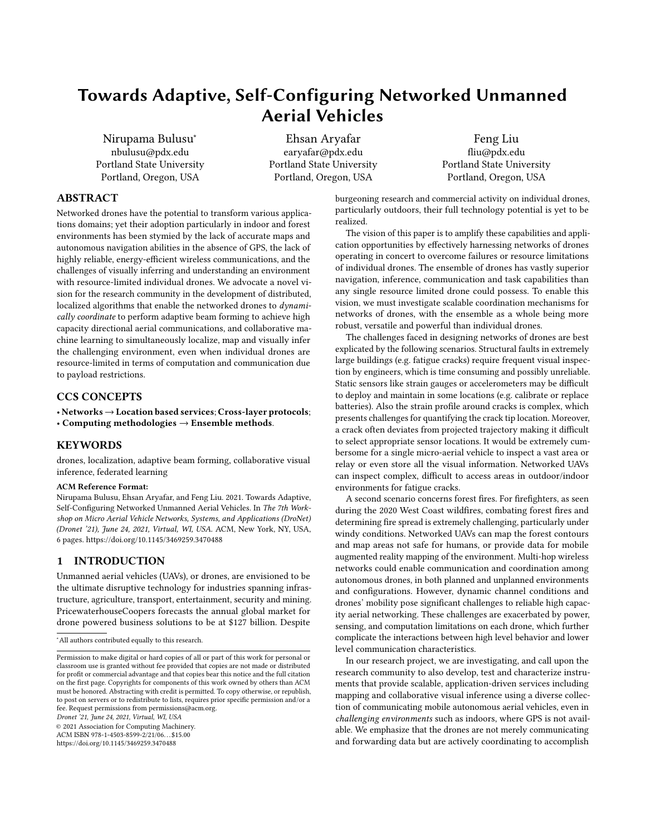# Towards Adaptive, Self-Configuring Networked Unmanned Aerial Vehicles

[Nirupama Bulusu](https://orcid.org/0003-4351-1217)<sup>∗</sup> nbulusu@pdx.edu Portland State University Portland, Oregon, USA

Ehsan Aryafar earyafar@pdx.edu Portland State University Portland, Oregon, USA

Feng Liu fliu@pdx.edu Portland State University Portland, Oregon, USA

## ABSTRACT

Networked drones have the potential to transform various applications domains; yet their adoption particularly in indoor and forest environments has been stymied by the lack of accurate maps and autonomous navigation abilities in the absence of GPS, the lack of highly reliable, energy-efficient wireless communications, and the challenges of visually inferring and understanding an environment with resource-limited individual drones. We advocate a novel vision for the research community in the development of distributed, localized algorithms that enable the networked drones to dynamically coordinate to perform adaptive beam forming to achieve high capacity directional aerial communications, and collaborative machine learning to simultaneously localize, map and visually infer the challenging environment, even when individual drones are resource-limited in terms of computation and communication due to payload restrictions.

## CCS CONCEPTS

• Networks→Location based services; Cross-layer protocols;

• Computing methodologies  $\rightarrow$  Ensemble methods.

## **KEYWORDS**

drones, localization, adaptive beam forming, collaborative visual inference, federated learning

#### ACM Reference Format:

Nirupama Bulusu, Ehsan Aryafar, and Feng Liu. 2021. Towards Adaptive, Self-Configuring Networked Unmanned Aerial Vehicles. In The 7th Workshop on Micro Aerial Vehicle Networks, Systems, and Applications (DroNet) (Dronet '21), June 24, 2021, Virtual, WI, USA. ACM, New York, NY, USA, [6](#page-5-0) pages.<https://doi.org/10.1145/3469259.3470488>

### 1 INTRODUCTION

Unmanned aerial vehicles (UAVs), or drones, are envisioned to be the ultimate disruptive technology for industries spanning infrastructure, agriculture, transport, entertainment, security and mining. PricewaterhouseCoopers forecasts the annual global market for drone powered business solutions to be at \$127 billion. Despite

Dronet '21, June 24, 2021, Virtual, WI, USA

© 2021 Association for Computing Machinery.

ACM ISBN 978-1-4503-8599-2/21/06. . . \$15.00 <https://doi.org/10.1145/3469259.3470488>

burgeoning research and commercial activity on individual drones, particularly outdoors, their full technology potential is yet to be realized.

The vision of this paper is to amplify these capabilities and application opportunities by effectively harnessing networks of drones operating in concert to overcome failures or resource limitations of individual drones. The ensemble of drones has vastly superior navigation, inference, communication and task capabilities than any single resource limited drone could possess. To enable this vision, we must investigate scalable coordination mechanisms for networks of drones, with the ensemble as a whole being more robust, versatile and powerful than individual drones.

The challenges faced in designing networks of drones are best explicated by the following scenarios. Structural faults in extremely large buildings (e.g. fatigue cracks) require frequent visual inspection by engineers, which is time consuming and possibly unreliable. Static sensors like strain gauges or accelerometers may be difficult to deploy and maintain in some locations (e.g. calibrate or replace batteries). Also the strain profile around cracks is complex, which presents challenges for quantifying the crack tip location. Moreover, a crack often deviates from projected trajectory making it difficult to select appropriate sensor locations. It would be extremely cumbersome for a single micro-aerial vehicle to inspect a vast area or relay or even store all the visual information. Networked UAVs can inspect complex, difficult to access areas in outdoor/indoor environments for fatigue cracks.

A second scenario concerns forest fires. For firefighters, as seen during the 2020 West Coast wildfires, combating forest fires and determining fire spread is extremely challenging, particularly under windy conditions. Networked UAVs can map the forest contours and map areas not safe for humans, or provide data for mobile augmented reality mapping of the environment. Multi-hop wireless networks could enable communication and coordination among autonomous drones, in both planned and unplanned environments and configurations. However, dynamic channel conditions and drones' mobility pose significant challenges to reliable high capacity aerial networking. These challenges are exacerbated by power, sensing, and computation limitations on each drone, which further complicate the interactions between high level behavior and lower level communication characteristics.

In our research project, we are investigating, and call upon the research community to also develop, test and characterize instruments that provide scalable, application-driven services including mapping and collaborative visual inference using a diverse collection of communicating mobile autonomous aerial vehicles, even in challenging environments such as indoors, where GPS is not available. We emphasize that the drones are not merely communicating and forwarding data but are actively coordinating to accomplish

<sup>∗</sup>All authors contributed equally to this research.

Permission to make digital or hard copies of all or part of this work for personal or classroom use is granted without fee provided that copies are not made or distributed for profit or commercial advantage and that copies bear this notice and the full citation on the first page. Copyrights for components of this work owned by others than ACM must be honored. Abstracting with credit is permitted. To copy otherwise, or republish, to post on servers or to redistribute to lists, requires prior specific permission and/or a fee. Request permissions from permissions@acm.org.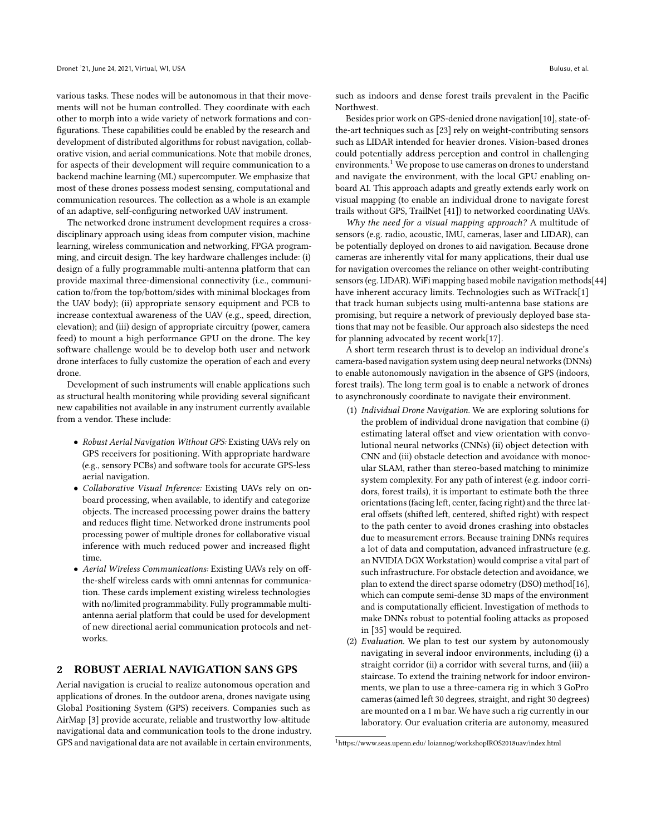various tasks. These nodes will be autonomous in that their movements will not be human controlled. They coordinate with each other to morph into a wide variety of network formations and configurations. These capabilities could be enabled by the research and development of distributed algorithms for robust navigation, collaborative vision, and aerial communications. Note that mobile drones, for aspects of their development will require communication to a backend machine learning (ML) supercomputer. We emphasize that most of these drones possess modest sensing, computational and communication resources. The collection as a whole is an example of an adaptive, self-configuring networked UAV instrument.

The networked drone instrument development requires a crossdisciplinary approach using ideas from computer vision, machine learning, wireless communication and networking, FPGA programming, and circuit design. The key hardware challenges include: (i) design of a fully programmable multi-antenna platform that can provide maximal three-dimensional connectivity (i.e., communication to/from the top/bottom/sides with minimal blockages from the UAV body); (ii) appropriate sensory equipment and PCB to increase contextual awareness of the UAV (e.g., speed, direction, elevation); and (iii) design of appropriate circuitry (power, camera feed) to mount a high performance GPU on the drone. The key software challenge would be to develop both user and network drone interfaces to fully customize the operation of each and every drone.

Development of such instruments will enable applications such as structural health monitoring while providing several significant new capabilities not available in any instrument currently available from a vendor. These include:

- Robust Aerial Navigation Without GPS: Existing UAVs rely on GPS receivers for positioning. With appropriate hardware (e.g., sensory PCBs) and software tools for accurate GPS-less aerial navigation.
- Collaborative Visual Inference: Existing UAVs rely on onboard processing, when available, to identify and categorize objects. The increased processing power drains the battery and reduces flight time. Networked drone instruments pool processing power of multiple drones for collaborative visual inference with much reduced power and increased flight time.
- Aerial Wireless Communications: Existing UAVs rely on offthe-shelf wireless cards with omni antennas for communication. These cards implement existing wireless technologies with no/limited programmability. Fully programmable multiantenna aerial platform that could be used for development of new directional aerial communication protocols and networks.

#### 2 ROBUST AERIAL NAVIGATION SANS GPS

Aerial navigation is crucial to realize autonomous operation and applications of drones. In the outdoor arena, drones navigate using Global Positioning System (GPS) receivers. Companies such as AirMap [\[3\]](#page-4-0) provide accurate, reliable and trustworthy low-altitude navigational data and communication tools to the drone industry. GPS and navigational data are not available in certain environments,

such as indoors and dense forest trails prevalent in the Pacific Northwest.

Besides prior work on GPS-denied drone navigation[\[10\]](#page-4-1), state-ofthe-art techniques such as [\[23\]](#page-5-1) rely on weight-contributing sensors such as LIDAR intended for heavier drones. Vision-based drones could potentially address perception and control in challenging environments.<sup>[1](#page-1-0)</sup> We propose to use cameras on drones to understand and navigate the environment, with the local GPU enabling onboard AI. This approach adapts and greatly extends early work on visual mapping (to enable an individual drone to navigate forest trails without GPS, TrailNet [\[41\]](#page-5-2)) to networked coordinating UAVs.

Why the need for a visual mapping approach? A multitude of sensors (e.g. radio, acoustic, IMU, cameras, laser and LIDAR), can be potentially deployed on drones to aid navigation. Because drone cameras are inherently vital for many applications, their dual use for navigation overcomes the reliance on other weight-contributing sensors (eg. LIDAR). WiFi mapping based mobile navigation methods[\[44\]](#page-5-3) have inherent accuracy limits. Technologies such as WiTrack[\[1\]](#page-4-2) that track human subjects using multi-antenna base stations are promising, but require a network of previously deployed base stations that may not be feasible. Our approach also sidesteps the need for planning advocated by recent work[\[17\]](#page-5-4).

A short term research thrust is to develop an individual drone's camera-based navigation system using deep neural networks (DNNs) to enable autonomously navigation in the absence of GPS (indoors, forest trails). The long term goal is to enable a network of drones to asynchronously coordinate to navigate their environment.

- (1) Individual Drone Navigation. We are exploring solutions for the problem of individual drone navigation that combine (i) estimating lateral offset and view orientation with convolutional neural networks (CNNs) (ii) object detection with CNN and (iii) obstacle detection and avoidance with monocular SLAM, rather than stereo-based matching to minimize system complexity. For any path of interest (e.g. indoor corridors, forest trails), it is important to estimate both the three orientations (facing left, center, facing right) and the three lateral offsets (shifted left, centered, shifted right) with respect to the path center to avoid drones crashing into obstacles due to measurement errors. Because training DNNs requires a lot of data and computation, advanced infrastructure (e.g. an NVIDIA DGX Workstation) would comprise a vital part of such infrastructure. For obstacle detection and avoidance, we plan to extend the direct sparse odometry (DSO) method[\[16\]](#page-5-5), which can compute semi-dense 3D maps of the environment and is computationally efficient. Investigation of methods to make DNNs robust to potential fooling attacks as proposed in [\[35\]](#page-5-6) would be required.
- (2) Evaluation. We plan to test our system by autonomously navigating in several indoor environments, including (i) a straight corridor (ii) a corridor with several turns, and (iii) a staircase. To extend the training network for indoor environments, we plan to use a three-camera rig in which 3 GoPro cameras (aimed left 30 degrees, straight, and right 30 degrees) are mounted on a 1 m bar. We have such a rig currently in our laboratory. Our evaluation criteria are autonomy, measured

<span id="page-1-0"></span><sup>1</sup>https://www.seas.upenn.edu/ loiannog/workshopIROS2018uav/index.html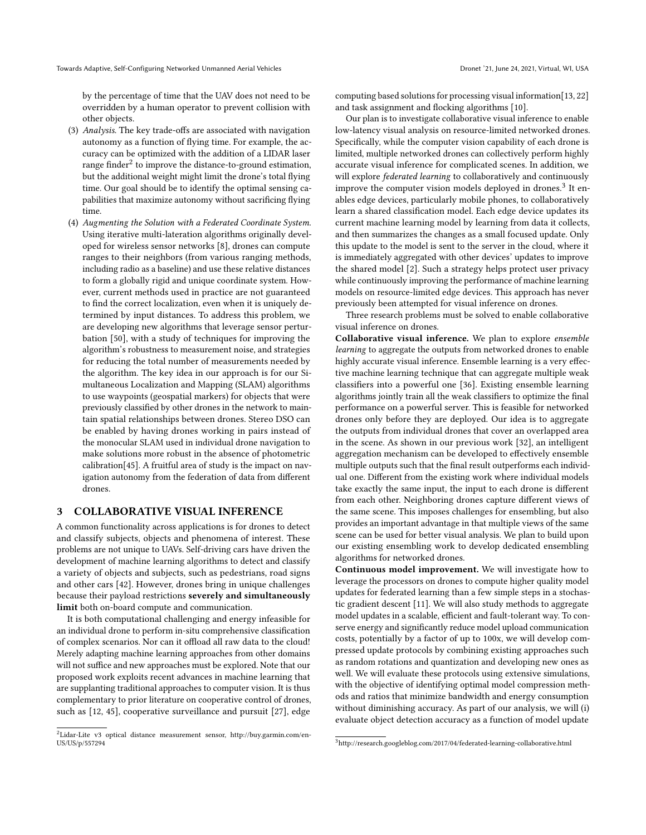by the percentage of time that the UAV does not need to be overridden by a human operator to prevent collision with other objects.

- (3) Analysis. The key trade-offs are associated with navigation autonomy as a function of flying time. For example, the accuracy can be optimized with the addition of a LIDAR laser range finder $^2$  $^2$  to improve the distance-to-ground estimation, but the additional weight might limit the drone's total flying time. Our goal should be to identify the optimal sensing capabilities that maximize autonomy without sacrificing flying time.
- (4) Augmenting the Solution with a Federated Coordinate System. Using iterative multi-lateration algorithms originally developed for wireless sensor networks [\[8\]](#page-4-3), drones can compute ranges to their neighbors (from various ranging methods, including radio as a baseline) and use these relative distances to form a globally rigid and unique coordinate system. However, current methods used in practice are not guaranteed to find the correct localization, even when it is uniquely determined by input distances. To address this problem, we are developing new algorithms that leverage sensor perturbation [\[50\]](#page-5-7), with a study of techniques for improving the algorithm's robustness to measurement noise, and strategies for reducing the total number of measurements needed by the algorithm. The key idea in our approach is for our Simultaneous Localization and Mapping (SLAM) algorithms to use waypoints (geospatial markers) for objects that were previously classified by other drones in the network to maintain spatial relationships between drones. Stereo DSO can be enabled by having drones working in pairs instead of the monocular SLAM used in individual drone navigation to make solutions more robust in the absence of photometric calibration[\[45\]](#page-5-8). A fruitful area of study is the impact on navigation autonomy from the federation of data from different drones.

### 3 COLLABORATIVE VISUAL INFERENCE

A common functionality across applications is for drones to detect and classify subjects, objects and phenomena of interest. These problems are not unique to UAVs. Self-driving cars have driven the development of machine learning algorithms to detect and classify a variety of objects and subjects, such as pedestrians, road signs and other cars [\[42\]](#page-5-9). However, drones bring in unique challenges because their payload restrictions severely and simultaneously limit both on-board compute and communication.

It is both computational challenging and energy infeasible for an individual drone to perform in-situ comprehensive classification of complex scenarios. Nor can it offload all raw data to the cloud! Merely adapting machine learning approaches from other domains will not suffice and new approaches must be explored. Note that our proposed work exploits recent advances in machine learning that are supplanting traditional approaches to computer vision. It is thus complementary to prior literature on cooperative control of drones, such as [\[12,](#page-4-4) [45\]](#page-5-8), cooperative surveillance and pursuit [\[27\]](#page-5-10), edge

computing based solutions for processing visual information[\[13,](#page-4-5) [22\]](#page-5-11) and task assignment and flocking algorithms [\[10\]](#page-4-1).

Our plan is to investigate collaborative visual inference to enable low-latency visual analysis on resource-limited networked drones. Specifically, while the computer vision capability of each drone is limited, multiple networked drones can collectively perform highly accurate visual inference for complicated scenes. In addition, we will explore federated learning to collaboratively and continuously improve the computer vision models deployed in drones.<sup>[3](#page-2-1)</sup> It enables edge devices, particularly mobile phones, to collaboratively learn a shared classification model. Each edge device updates its current machine learning model by learning from data it collects, and then summarizes the changes as a small focused update. Only this update to the model is sent to the server in the cloud, where it is immediately aggregated with other devices' updates to improve the shared model [\[2\]](#page-4-6). Such a strategy helps protect user privacy while continuously improving the performance of machine learning models on resource-limited edge devices. This approach has never previously been attempted for visual inference on drones.

Three research problems must be solved to enable collaborative visual inference on drones.

Collaborative visual inference. We plan to explore ensemble learning to aggregate the outputs from networked drones to enable highly accurate visual inference. Ensemble learning is a very effective machine learning technique that can aggregate multiple weak classifiers into a powerful one [\[36\]](#page-5-12). Existing ensemble learning algorithms jointly train all the weak classifiers to optimize the final performance on a powerful server. This is feasible for networked drones only before they are deployed. Our idea is to aggregate the outputs from individual drones that cover an overlapped area in the scene. As shown in our previous work [\[32\]](#page-5-13), an intelligent aggregation mechanism can be developed to effectively ensemble multiple outputs such that the final result outperforms each individual one. Different from the existing work where individual models take exactly the same input, the input to each drone is different from each other. Neighboring drones capture different views of the same scene. This imposes challenges for ensembling, but also provides an important advantage in that multiple views of the same scene can be used for better visual analysis. We plan to build upon our existing ensembling work to develop dedicated ensembling algorithms for networked drones.

Continuous model improvement. We will investigate how to leverage the processors on drones to compute higher quality model updates for federated learning than a few simple steps in a stochastic gradient descent [\[11\]](#page-4-7). We will also study methods to aggregate model updates in a scalable, efficient and fault-tolerant way. To conserve energy and significantly reduce model upload communication costs, potentially by a factor of up to 100x, we will develop compressed update protocols by combining existing approaches such as random rotations and quantization and developing new ones as well. We will evaluate these protocols using extensive simulations, with the objective of identifying optimal model compression methods and ratios that minimize bandwidth and energy consumption without diminishing accuracy. As part of our analysis, we will (i) evaluate object detection accuracy as a function of model update

<span id="page-2-0"></span><sup>2</sup>Lidar-Lite v3 optical distance measurement sensor, http://buy.garmin.com/en-US/US/p/557294

<span id="page-2-1"></span><sup>3</sup>http://research.googleblog.com/2017/04/federated-learning-collaborative.html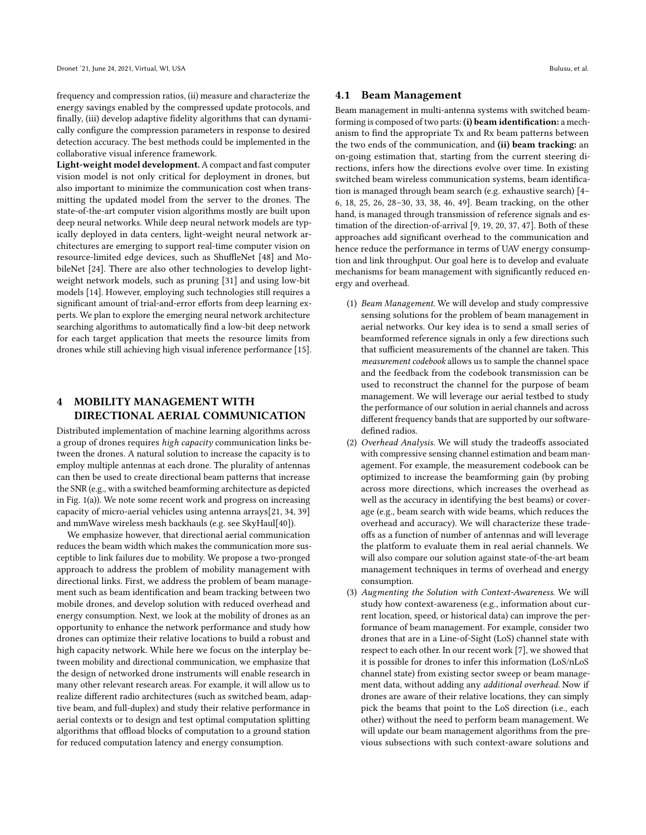frequency and compression ratios, (ii) measure and characterize the energy savings enabled by the compressed update protocols, and finally, (iii) develop adaptive fidelity algorithms that can dynamically configure the compression parameters in response to desired detection accuracy. The best methods could be implemented in the collaborative visual inference framework.

Light-weight model development. A compact and fast computer vision model is not only critical for deployment in drones, but also important to minimize the communication cost when transmitting the updated model from the server to the drones. The state-of-the-art computer vision algorithms mostly are built upon deep neural networks. While deep neural network models are typically deployed in data centers, light-weight neural network architectures are emerging to support real-time computer vision on resource-limited edge devices, such as ShuffleNet [\[48\]](#page-5-14) and MobileNet [\[24\]](#page-5-15). There are also other technologies to develop lightweight network models, such as pruning [\[31\]](#page-5-16) and using low-bit models [\[14\]](#page-4-8). However, employing such technologies still requires a significant amount of trial-and-error efforts from deep learning experts. We plan to explore the emerging neural network architecture searching algorithms to automatically find a low-bit deep network for each target application that meets the resource limits from drones while still achieving high visual inference performance [\[15\]](#page-4-9).

## 4 MOBILITY MANAGEMENT WITH DIRECTIONAL AERIAL COMMUNICATION

Distributed implementation of machine learning algorithms across a group of drones requires high capacity communication links between the drones. A natural solution to increase the capacity is to employ multiple antennas at each drone. The plurality of antennas can then be used to create directional beam patterns that increase the SNR (e.g., with a switched beamforming architecture as depicted in Fig. [1\(](#page-4-10)a)). We note some recent work and progress on increasing capacity of micro-aerial vehicles using antenna arrays[\[21,](#page-5-17) [34,](#page-5-18) [39\]](#page-5-19) and mmWave wireless mesh backhauls (e.g. see SkyHaul[\[40\]](#page-5-20)).

We emphasize however, that directional aerial communication reduces the beam width which makes the communication more susceptible to link failures due to mobility. We propose a two-pronged approach to address the problem of mobility management with directional links. First, we address the problem of beam management such as beam identification and beam tracking between two mobile drones, and develop solution with reduced overhead and energy consumption. Next, we look at the mobility of drones as an opportunity to enhance the network performance and study how drones can optimize their relative locations to build a robust and high capacity network. While here we focus on the interplay between mobility and directional communication, we emphasize that the design of networked drone instruments will enable research in many other relevant research areas. For example, it will allow us to realize different radio architectures (such as switched beam, adaptive beam, and full-duplex) and study their relative performance in aerial contexts or to design and test optimal computation splitting algorithms that offload blocks of computation to a ground station for reduced computation latency and energy consumption.

#### 4.1 Beam Management

Beam management in multi-antenna systems with switched beamforming is composed of two parts: (i) beam identification: a mechanism to find the appropriate Tx and Rx beam patterns between the two ends of the communication, and (ii) beam tracking: an on-going estimation that, starting from the current steering directions, infers how the directions evolve over time. In existing switched beam wireless communication systems, beam identification is managed through beam search (e.g. exhaustive search) [\[4–](#page-4-11) [6,](#page-4-12) [18,](#page-5-21) [25,](#page-5-22) [26,](#page-5-23) [28–](#page-5-24)[30,](#page-5-25) [33,](#page-5-26) [38,](#page-5-27) [46,](#page-5-28) [49\]](#page-5-29). Beam tracking, on the other hand, is managed through transmission of reference signals and estimation of the direction-of-arrival [\[9,](#page-4-13) [19,](#page-5-30) [20,](#page-5-31) [37,](#page-5-32) [47\]](#page-5-33). Both of these approaches add significant overhead to the communication and hence reduce the performance in terms of UAV energy consumption and link throughput. Our goal here is to develop and evaluate mechanisms for beam management with significantly reduced energy and overhead.

- (1) Beam Management. We will develop and study compressive sensing solutions for the problem of beam management in aerial networks. Our key idea is to send a small series of beamformed reference signals in only a few directions such that sufficient measurements of the channel are taken. This measurement codebook allows us to sample the channel space and the feedback from the codebook transmission can be used to reconstruct the channel for the purpose of beam management. We will leverage our aerial testbed to study the performance of our solution in aerial channels and across different frequency bands that are supported by our softwaredefined radios.
- (2) Overhead Analysis. We will study the tradeoffs associated with compressive sensing channel estimation and beam management. For example, the measurement codebook can be optimized to increase the beamforming gain (by probing across more directions, which increases the overhead as well as the accuracy in identifying the best beams) or coverage (e.g., beam search with wide beams, which reduces the overhead and accuracy). We will characterize these tradeoffs as a function of number of antennas and will leverage the platform to evaluate them in real aerial channels. We will also compare our solution against state-of-the-art beam management techniques in terms of overhead and energy consumption.
- (3) Augmenting the Solution with Context-Awareness. We will study how context-awareness (e.g., information about current location, speed, or historical data) can improve the performance of beam management. For example, consider two drones that are in a Line-of-Sight (LoS) channel state with respect to each other. In our recent work [\[7\]](#page-4-14), we showed that it is possible for drones to infer this information (LoS/nLoS channel state) from existing sector sweep or beam management data, without adding any additional overhead. Now if drones are aware of their relative locations, they can simply pick the beams that point to the LoS direction (i.e., each other) without the need to perform beam management. We will update our beam management algorithms from the previous subsections with such context-aware solutions and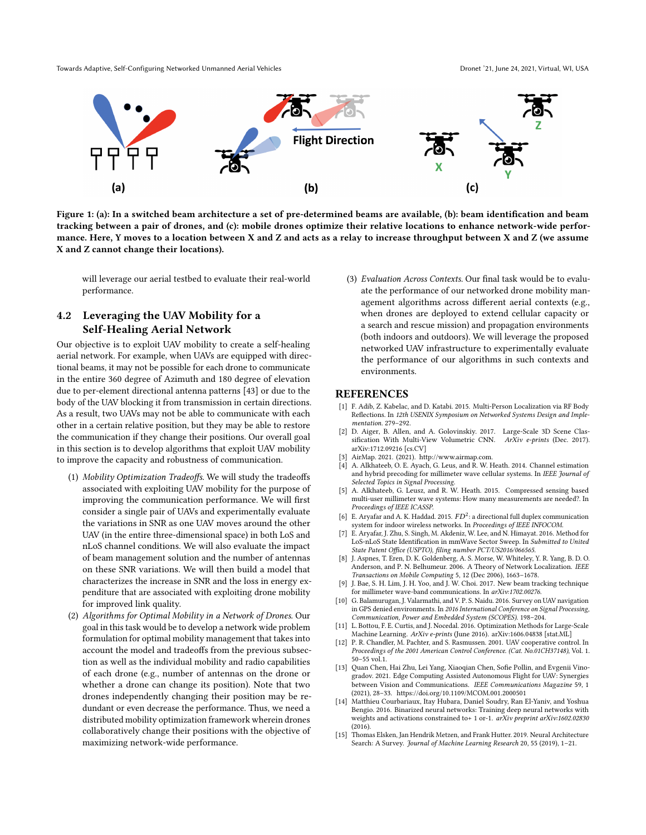<span id="page-4-10"></span>Towards Adaptive, Self-Configuring Networked Unmanned Aerial Vehicles Dronet 1998 and Dronet '21, June 24, 2021, Virtual, WI, USA



Figure 1: (a): In a switched beam architecture a set of pre-determined beams are available, (b): beam identification and beam tracking between a pair of drones, and (c): mobile drones optimize their relative locations to enhance network-wide performance. Here, Y moves to a location between X and Z and acts as a relay to increase throughput between X and Z (we assume X and Z cannot change their locations).

will leverage our aerial testbed to evaluate their real-world performance.

## 4.2 Leveraging the UAV Mobility for a Self-Healing Aerial Network

Our objective is to exploit UAV mobility to create a self-healing aerial network. For example, when UAVs are equipped with directional beams, it may not be possible for each drone to communicate in the entire 360 degree of Azimuth and 180 degree of elevation due to per-element directional antenna patterns [\[43\]](#page-5-34) or due to the body of the UAV blocking it from transmission in certain directions. As a result, two UAVs may not be able to communicate with each other in a certain relative position, but they may be able to restore the communication if they change their positions. Our overall goal in this section is to develop algorithms that exploit UAV mobility to improve the capacity and robustness of communication.

- (1) Mobility Optimization Tradeoffs. We will study the tradeoffs associated with exploiting UAV mobility for the purpose of improving the communication performance. We will first consider a single pair of UAVs and experimentally evaluate the variations in SNR as one UAV moves around the other UAV (in the entire three-dimensional space) in both LoS and nLoS channel conditions. We will also evaluate the impact of beam management solution and the number of antennas on these SNR variations. We will then build a model that characterizes the increase in SNR and the loss in energy expenditure that are associated with exploiting drone mobility for improved link quality.
- (2) Algorithms for Optimal Mobility in a Network of Drones. Our goal in this task would be to develop a network wide problem formulation for optimal mobility management that takes into account the model and tradeoffs from the previous subsection as well as the individual mobility and radio capabilities of each drone (e.g., number of antennas on the drone or whether a drone can change its position). Note that two drones independently changing their position may be redundant or even decrease the performance. Thus, we need a distributed mobility optimization framework wherein drones collaboratively change their positions with the objective of maximizing network-wide performance.

(3) Evaluation Across Contexts. Our final task would be to evaluate the performance of our networked drone mobility management algorithms across different aerial contexts (e.g., when drones are deployed to extend cellular capacity or a search and rescue mission) and propagation environments (both indoors and outdoors). We will leverage the proposed networked UAV infrastructure to experimentally evaluate the performance of our algorithms in such contexts and environments.

### REFERENCES

- <span id="page-4-2"></span>[1] F. Adib, Z. Kabelac, and D. Katabi. 2015. Multi-Person Localization via RF Body Reflections. In 12th USENIX Symposium on Networked Systems Design and Implementation. 279–292.
- <span id="page-4-6"></span>[2] D. Aiger, B. Allen, and A. Golovinskiy. 2017. Large-Scale 3D Scene Classification With Multi-View Volumetric CNN. ArXiv e-prints (Dec. 2017). arXiv[:1712.09216](https://arxiv.org/abs/1712.09216) [cs.CV]
- <span id="page-4-0"></span>[3] AirMap. 2021. (2021). http://www.airmap.com.
- <span id="page-4-11"></span>[4] A. Alkhateeb, O. E. Ayach, G. Leus, and R. W. Heath. 2014. Channel estimation and hybrid precoding for millimeter wave cellular systems. In IEEE Journal of Selected Topics in Signal Processing.
- [5] A. Alkhateeb, G. Leusz, and R. W. Heath. 2015. Compressed sensing based multi-user millimeter wave systems: How many measurements are needed?. In Proceedings of IEEE ICASSP.
- <span id="page-4-12"></span>[6] E. Aryafar and A. K. Haddad. 2015.  $FD^2$ : a directional full duplex communication system for indoor wireless networks. In Proceedings of IEEE INFOCOM.
- <span id="page-4-14"></span>[7] E. Aryafar, J. Zhu, S. Singh, M. Akdeniz, W. Lee, and N. Himayat. 2016. Method for LoS-nLoS State Identification in mmWave Sector Sweep. In Submitted to United State Patent Office (USPTO), filing number PCT/US2016/066565.
- <span id="page-4-3"></span>[8] J. Aspnes, T. Eren, D. K. Goldenberg, A. S. Morse, W. Whiteley, Y. R. Yang, B. D. O. Anderson, and P. N. Belhumeur. 2006. A Theory of Network Localization. IEEE Transactions on Mobile Computing 5, 12 (Dec 2006), 1663–1678.
- <span id="page-4-13"></span>J. Bae, S. H. Lim, J. H. Yoo, and J. W. Choi. 2017. New beam tracking technique for millimeter wave-band communications. In arXiv:1702.00276.
- <span id="page-4-1"></span>[10] G. Balamurugan, J. Valarmathi, and V. P. S. Naidu. 2016. Survey on UAV navigation in GPS denied environments. In 2016 International Conference on Signal Processing, Communication, Power and Embedded System (SCOPES). 198–204.
- <span id="page-4-7"></span>[11] L. Bottou, F. E. Curtis, and J. Nocedal. 2016. Optimization Methods for Large-Scale Machine Learning. ArXiv e-prints (June 2016). arXiv[:1606.04838](https://arxiv.org/abs/1606.04838) [stat.ML]
- <span id="page-4-4"></span>[12] P. R. Chandler, M. Pachter, and S. Rasmussen. 2001. UAV cooperative control. In Proceedings of the 2001 American Control Conference. (Cat. No.01CH37148), Vol. 1. 50–55 vol.1.
- <span id="page-4-5"></span>[13] Quan Chen, Hai Zhu, Lei Yang, Xiaoqian Chen, Sofie Pollin, and Evgenii Vinogradov. 2021. Edge Computing Assisted Autonomous Flight for UAV: Synergies between Vision and Communications. IEEE Communications Magazine 59, 1 (2021), 28–33.<https://doi.org/10.1109/MCOM.001.2000501>
- <span id="page-4-8"></span>[14] Matthieu Courbariaux, Itay Hubara, Daniel Soudry, Ran El-Yaniv, and Yoshua Bengio. 2016. Binarized neural networks: Training deep neural networks with weights and activations constrained to+ 1 or-1. arXiv preprint arXiv:1602.02830 (2016).
- <span id="page-4-9"></span>[15] Thomas Elsken, Jan Hendrik Metzen, and Frank Hutter. 2019. Neural Architecture Search: A Survey. Journal of Machine Learning Research 20, 55 (2019), 1–21.